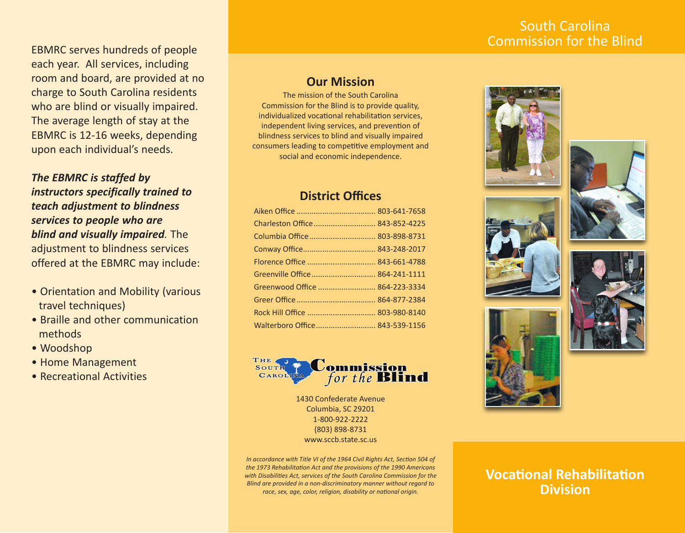## South Carolina Commission for the Blind

EBMRC serves hundreds of people each year. All services, including room and board, are provided at no charge to South Carolina residents who are blind or visually impaired. The average length of stay at the EBMRC is 12-16 weeks, depending upon each individual's needs.

*The EBMRC is staffed by instructors specifically trained to teach adjustment to blindness services to people who are blind and visually impaired.* The adjustment to blindness services offered at the EBMRC may include:

- Orientation and Mobility (various travel techniques)
- Braille and other communication methods
- Woodshop
- Home Management
- Recreational Activities

### **Our Mission**

The mission of the South Carolina Commission for the Blind is to provide quality, individualized vocational rehabilitation services, independent living services, and prevention of blindness services to blind and visually impaired consumers leading to competitive employment and social and economic independence.

### **District Offices**

| Charleston Office 843-852-4225 |  |
|--------------------------------|--|
| Columbia Office  803-898-8731  |  |
|                                |  |
|                                |  |
| Greenville Office 864-241-1111 |  |
| Greenwood Office  864-223-3334 |  |
|                                |  |
| Rock Hill Office  803-980-8140 |  |
| Walterboro Office 843-539-1156 |  |



1430 Confederate Avenue Columbia, SC 29201 1-800-922-2222 (803) 898-8731 www.sccb.state.sc.us

*In accordance with Title VI of the 1964 Civil Rights Act, Section 504 of the 1973 Rehabilitation Act and the provisions of the 1990 Americans with Disabilities Act, services of the South Carolina Commission for the Blind are provided in a non-discriminatory manner without regard to race, sex, age, color, religion, disability or national origin.*